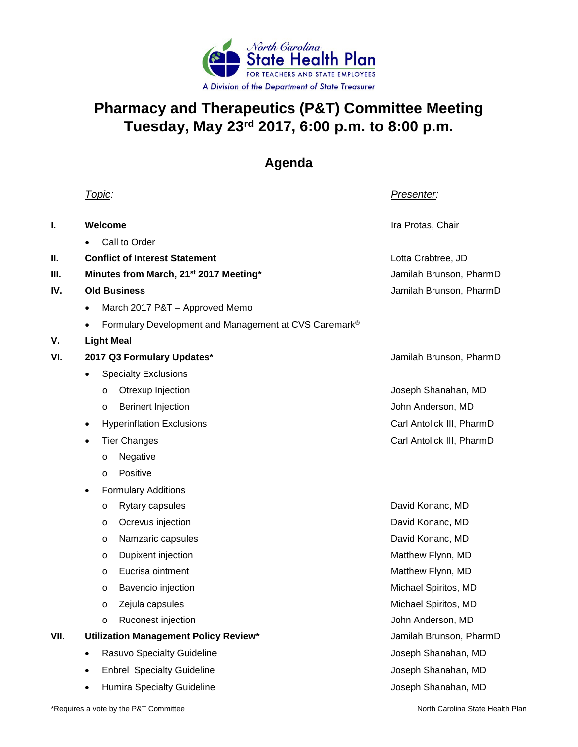

## **Pharmacy and Therapeutics (P&T) Committee Meeting Tuesday, May 23rd 2017, 6:00 p.m. to 8:00 p.m.**

## **Agenda**

|      | <u> Topic:</u>                                        | <u>Presenter:</u>         |
|------|-------------------------------------------------------|---------------------------|
| I.   | Welcome                                               | Ira Protas, Chair         |
|      | Call to Order                                         |                           |
| Ш.   | <b>Conflict of Interest Statement</b>                 | Lotta Crabtree, JD        |
| Ш.   | Minutes from March, 21 <sup>st</sup> 2017 Meeting*    | Jamilah Brunson, PharmD   |
| IV.  | <b>Old Business</b>                                   | Jamilah Brunson, PharmD   |
|      | March 2017 P&T - Approved Memo<br>٠                   |                           |
|      | Formulary Development and Management at CVS Caremark® |                           |
| V.   | <b>Light Meal</b>                                     |                           |
| VI.  | 2017 Q3 Formulary Updates*                            | Jamilah Brunson, PharmD   |
|      | <b>Specialty Exclusions</b><br>$\bullet$              |                           |
|      | Otrexup Injection<br>$\circ$                          | Joseph Shanahan, MD       |
|      | <b>Berinert Injection</b><br>$\circ$                  | John Anderson, MD         |
|      | <b>Hyperinflation Exclusions</b><br>٠                 | Carl Antolick III, PharmD |
|      | <b>Tier Changes</b><br>$\bullet$                      | Carl Antolick III, PharmD |
|      | Negative<br>$\circ$                                   |                           |
|      | Positive<br>$\circ$                                   |                           |
|      | <b>Formulary Additions</b><br>٠                       |                           |
|      | Rytary capsules<br>O                                  | David Konanc, MD          |
|      | Ocrevus injection<br>$\circ$                          | David Konanc, MD          |
|      | Namzaric capsules<br>O                                | David Konanc, MD          |
|      | Dupixent injection<br>O                               | Matthew Flynn, MD         |
|      | Eucrisa ointment<br>$\circ$                           | Matthew Flynn, MD         |
|      | Bavencio injection<br>O                               | Michael Spiritos, MD      |
|      | Zejula capsules<br>$\circ$                            | Michael Spiritos, MD      |
|      | Ruconest injection<br>$\circ$                         | John Anderson, MD         |
| VII. | Utilization Management Policy Review*                 | Jamilah Brunson, PharmD   |
|      | Rasuvo Specialty Guideline<br>٠                       | Joseph Shanahan, MD       |
|      | <b>Enbrel Specialty Guideline</b>                     | Joseph Shanahan, MD       |
|      | <b>Humira Specialty Guideline</b>                     | Joseph Shanahan, MD       |